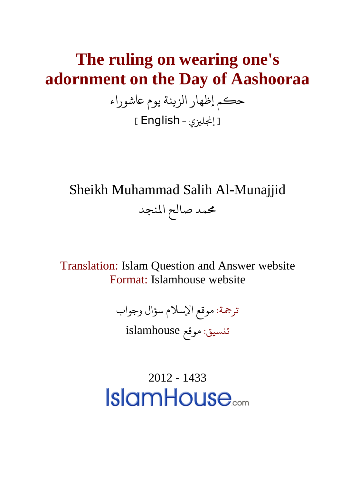## **The ruling on wearing one's adornment on the Day of Aashooraa**

حكم إظهار الزينة يوم عاشوراء ] إجنلزيي - English]

Sheikh Muhammad Salih Al-Munajjid محمد صالح المنجد

Translation: Islam Question and Answer website Format: Islamhouse website

ترجمة: موقع الإسلام سؤال وجواب

تنسيق: موقع islamhouse

2012 - 1433**IslamHouse**<sub>com</sub>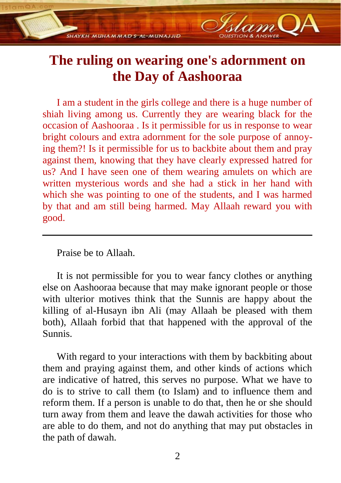## **The ruling on wearing one's adornment on the Day of Aashooraa**

**SHAYKH MIJHA M MAD S-AL-MIJNA LUD** 

I am a student in the girls college and there is a huge number of shiah living among us. Currently they are wearing black for the occasion of Aashooraa . Is it permissible for us in response to wear bright colours and extra adornment for the sole purpose of annoying them?! Is it permissible for us to backbite about them and pray against them, knowing that they have clearly expressed hatred for us? And I have seen one of them wearing amulets on which are written mysterious words and she had a stick in her hand with which she was pointing to one of the students, and I was harmed by that and am still being harmed. May Allaah reward you with good.

Praise be to Allaah.

It is not permissible for you to wear fancy clothes or anything else on Aashooraa because that may make ignorant people or those with ulterior motives think that the Sunnis are happy about the killing of al-Husayn ibn Ali (may Allaah be pleased with them both), Allaah forbid that that happened with the approval of the Sunnis.

With regard to your interactions with them by backbiting about them and praying against them, and other kinds of actions which are indicative of hatred, this serves no purpose. What we have to do is to strive to call them (to Islam) and to influence them and reform them. If a person is unable to do that, then he or she should turn away from them and leave the dawah activities for those who are able to do them, and not do anything that may put obstacles in the path of dawah.